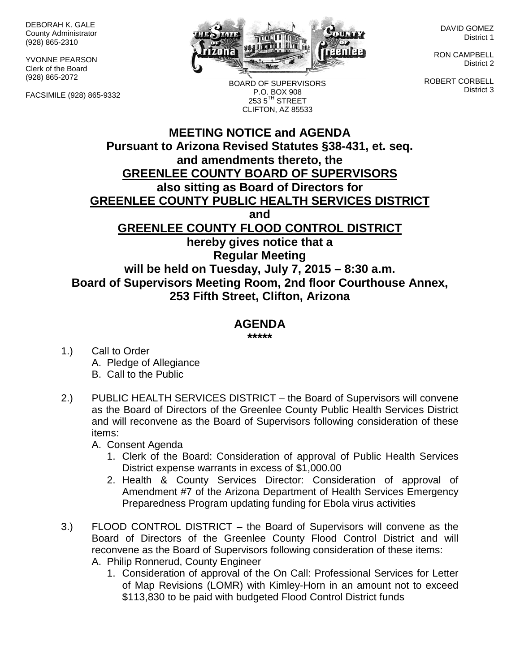DEBORAH K. GALE County Administrator (928) 865-2310

YVONNE PEARSON Clerk of the Board (928) 865-2072

FACSIMILE (928) 865-9332



BOARD OF SUPERVISORS P.O. BOX 908  $2535^{\text{TH}}$  STREET CLIFTON, AZ 85533

DAVID GOMEZ District 1

RON CAMPBELL District 2

ROBERT CORBELL District 3

## **MEETING NOTICE and AGENDA Pursuant to Arizona Revised Statutes §38-431, et. seq. and amendments thereto, the GREENLEE COUNTY BOARD OF SUPERVISORS also sitting as Board of Directors for GREENLEE COUNTY PUBLIC HEALTH SERVICES DISTRICT and GREENLEE COUNTY FLOOD CONTROL DISTRICT hereby gives notice that a Regular Meeting will be held on Tuesday, July 7, 2015 – 8:30 a.m. Board of Supervisors Meeting Room, 2nd floor Courthouse Annex, 253 Fifth Street, Clifton, Arizona**

## **AGENDA**

**\*\*\*\*\***

- 1.) Call to Order A. Pledge of Allegiance B. Call to the Public
- 2.) PUBLIC HEALTH SERVICES DISTRICT the Board of Supervisors will convene as the Board of Directors of the Greenlee County Public Health Services District and will reconvene as the Board of Supervisors following consideration of these items:

A. Consent Agenda

- 1. Clerk of the Board: Consideration of approval of Public Health Services District expense warrants in excess of \$1,000.00
- 2. Health & County Services Director: Consideration of approval of Amendment #7 of the Arizona Department of Health Services Emergency Preparedness Program updating funding for Ebola virus activities
- 3.) FLOOD CONTROL DISTRICT the Board of Supervisors will convene as the Board of Directors of the Greenlee County Flood Control District and will reconvene as the Board of Supervisors following consideration of these items:
	- A. Philip Ronnerud, County Engineer
		- 1. Consideration of approval of the On Call: Professional Services for Letter of Map Revisions (LOMR) with Kimley-Horn in an amount not to exceed \$113,830 to be paid with budgeted Flood Control District funds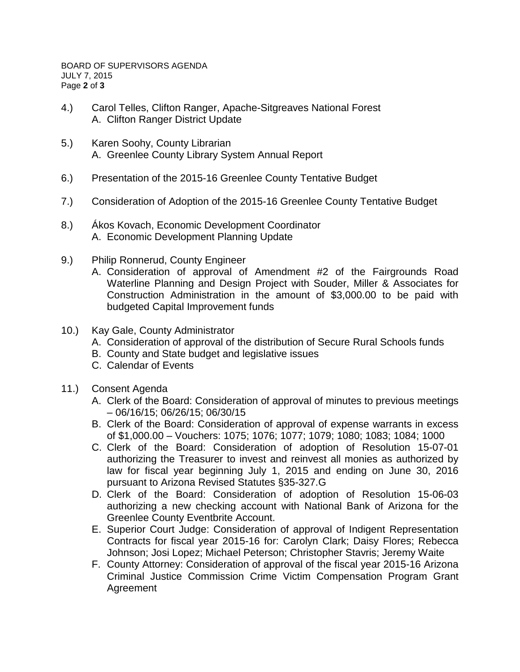- 4.) Carol Telles, Clifton Ranger, Apache-Sitgreaves National Forest A. Clifton Ranger District Update
- 5.) Karen Soohy, County Librarian A. Greenlee County Library System Annual Report
- 6.) Presentation of the 2015-16 Greenlee County Tentative Budget
- 7.) Consideration of Adoption of the 2015-16 Greenlee County Tentative Budget
- 8.) Ákos Kovach, Economic Development Coordinator A. Economic Development Planning Update
- 9.) Philip Ronnerud, County Engineer
	- A. Consideration of approval of Amendment #2 of the Fairgrounds Road Waterline Planning and Design Project with Souder, Miller & Associates for Construction Administration in the amount of \$3,000.00 to be paid with budgeted Capital Improvement funds
- 10.) Kay Gale, County Administrator
	- A. Consideration of approval of the distribution of Secure Rural Schools funds
	- B. County and State budget and legislative issues
	- C. Calendar of Events
- 11.) Consent Agenda
	- A. Clerk of the Board: Consideration of approval of minutes to previous meetings – 06/16/15; 06/26/15; 06/30/15
	- B. Clerk of the Board: Consideration of approval of expense warrants in excess of \$1,000.00 – Vouchers: 1075; 1076; 1077; 1079; 1080; 1083; 1084; 1000
	- C. Clerk of the Board: Consideration of adoption of Resolution 15-07-01 authorizing the Treasurer to invest and reinvest all monies as authorized by law for fiscal year beginning July 1, 2015 and ending on June 30, 2016 pursuant to Arizona Revised Statutes §35-327.G
	- D. Clerk of the Board: Consideration of adoption of Resolution 15-06-03 authorizing a new checking account with National Bank of Arizona for the Greenlee County Eventbrite Account.
	- E. Superior Court Judge: Consideration of approval of Indigent Representation Contracts for fiscal year 2015-16 for: Carolyn Clark; Daisy Flores; Rebecca Johnson; Josi Lopez; Michael Peterson; Christopher Stavris; Jeremy Waite
	- F. County Attorney: Consideration of approval of the fiscal year 2015-16 Arizona Criminal Justice Commission Crime Victim Compensation Program Grant Agreement